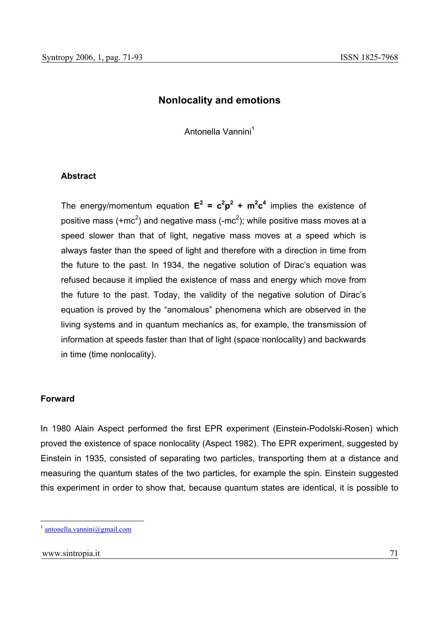# **Nonlocality and emotions**

Antonella Vannini<sup>1</sup>

#### **Abstract**

The energy/momentum equation  $E^2 = c^2p^2 + m^2c^4$  implies the existence of positive mass (+mc<sup>2</sup>) and negative mass (-mc<sup>2</sup>); while positive mass moves at a speed slower than that of light, negative mass moves at a speed which is always faster than the speed of light and therefore with a direction in time from the future to the past. In 1934, the negative solution of Dirac's equation was refused because it implied the existence of mass and energy which move from the future to the past. Today, the validity of the negative solution of Dirac's equation is proved by the "anomalous" phenomena which are observed in the living systems and in quantum mechanics as, for example, the transmission of information at speeds faster than that of light (space nonlocality) and backwards in time (time nonlocality).

#### **Forward**

In 1980 Alain Aspect performed the first EPR experiment (Einstein-Podolski-Rosen) which proved the existence of space nonlocality (Aspect 1982). The EPR experiment, suggested by Einstein in 1935, consisted of separating two particles, transporting them at a distance and measuring the quantum states of the two particles, for example the spin. Einstein suggested this experiment in order to show that, because quantum states are identical, it is possible to

 $antonella.vannini@gmail.com$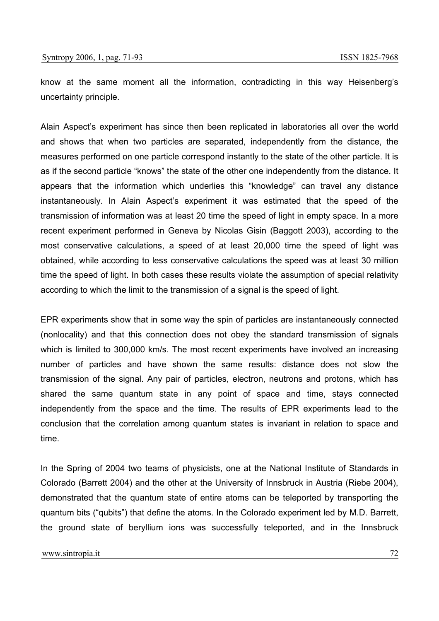know at the same moment all the information, contradicting in this way Heisenberg's uncertainty principle.

Alain Aspect's experiment has since then been replicated in laboratories all over the world and shows that when two particles are separated, independently from the distance, the measures performed on one particle correspond instantly to the state of the other particle. It is as if the second particle "knows" the state of the other one independently from the distance. It appears that the information which underlies this "knowledge" can travel any distance instantaneously. In Alain Aspect's experiment it was estimated that the speed of the transmission of information was at least 20 time the speed of light in empty space. In a more recent experiment performed in Geneva by Nicolas Gisin (Baggott 2003), according to the most conservative calculations, a speed of at least 20,000 time the speed of light was obtained, while according to less conservative calculations the speed was at least 30 million time the speed of light. In both cases these results violate the assumption of special relativity according to which the limit to the transmission of a signal is the speed of light.

EPR experiments show that in some way the spin of particles are instantaneously connected (nonlocality) and that this connection does not obey the standard transmission of signals which is limited to 300,000 km/s. The most recent experiments have involved an increasing number of particles and have shown the same results: distance does not slow the transmission of the signal. Any pair of particles, electron, neutrons and protons, which has shared the same quantum state in any point of space and time, stays connected independently from the space and the time. The results of EPR experiments lead to the conclusion that the correlation among quantum states is invariant in relation to space and time.

In the Spring of 2004 two teams of physicists, one at the National Institute of Standards in Colorado (Barrett 2004) and the other at the University of Innsbruck in Austria (Riebe 2004), demonstrated that the quantum state of entire atoms can be teleported by transporting the quantum bits ("qubits") that define the atoms. In the Colorado experiment led by M.D. Barrett, the ground state of beryllium ions was successfully teleported, and in the Innsbruck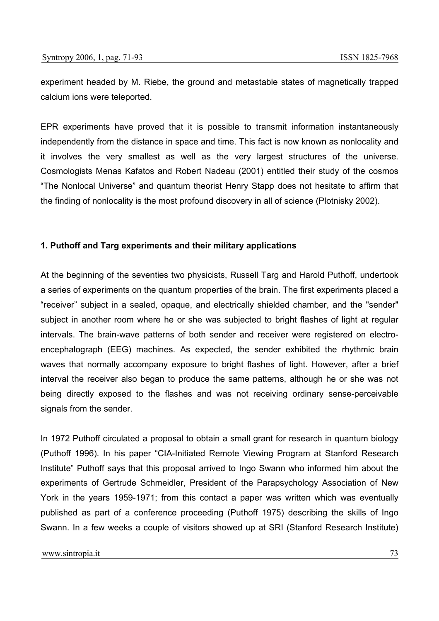experiment headed by M. Riebe, the ground and metastable states of magnetically trapped calcium ions were teleported.

EPR experiments have proved that it is possible to transmit information instantaneously independently from the distance in space and time. This fact is now known as nonlocality and it involves the very smallest as well as the very largest structures of the universe. Cosmologists Menas Kafatos and Robert Nadeau (2001) entitled their study of the cosmos "The Nonlocal Universe" and quantum theorist Henry Stapp does not hesitate to affirm that the finding of nonlocality is the most profound discovery in all of science (Plotnisky 2002).

### **1. Puthoff and Targ experiments and their military applications**

At the beginning of the seventies two physicists, Russell Targ and Harold Puthoff, undertook a series of experiments on the quantum properties of the brain. The first experiments placed a "receiver" subject in a sealed, opaque, and electrically shielded chamber, and the "sender" subject in another room where he or she was subjected to bright flashes of light at regular intervals. The brain-wave patterns of both sender and receiver were registered on electroencephalograph (EEG) machines. As expected, the sender exhibited the rhythmic brain waves that normally accompany exposure to bright flashes of light. However, after a brief interval the receiver also began to produce the same patterns, although he or she was not being directly exposed to the flashes and was not receiving ordinary sense-perceivable signals from the sender.

In 1972 Puthoff circulated a proposal to obtain a small grant for research in quantum biology (Puthoff 1996). In his paper "CIA-Initiated Remote Viewing Program at Stanford Research Institute" Puthoff says that this proposal arrived to Ingo Swann who informed him about the experiments of Gertrude Schmeidler, President of the Parapsychology Association of New York in the years 1959-1971; from this contact a paper was written which was eventually published as part of a conference proceeding (Puthoff 1975) describing the skills of Ingo Swann. In a few weeks a couple of visitors showed up at SRI (Stanford Research Institute)

www.sintropia.it 23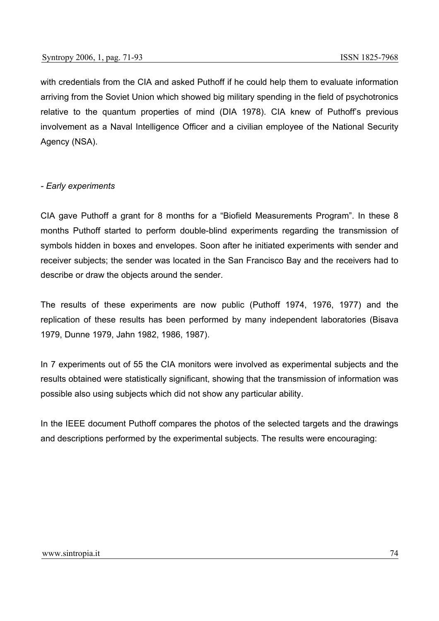with credentials from the CIA and asked Puthoff if he could help them to evaluate information arriving from the Soviet Union which showed big military spending in the field of psychotronics relative to the quantum properties of mind (DIA 1978). CIA knew of Puthoff's previous involvement as a Naval Intelligence Officer and a civilian employee of the National Security Agency (NSA).

### *- Early experiments*

CIA gave Puthoff a grant for 8 months for a "Biofield Measurements Program". In these 8 months Puthoff started to perform double-blind experiments regarding the transmission of symbols hidden in boxes and envelopes. Soon after he initiated experiments with sender and receiver subjects; the sender was located in the San Francisco Bay and the receivers had to describe or draw the objects around the sender.

The results of these experiments are now public (Puthoff 1974, 1976, 1977) and the replication of these results has been performed by many independent laboratories (Bisava 1979, Dunne 1979, Jahn 1982, 1986, 1987).

In 7 experiments out of 55 the CIA monitors were involved as experimental subjects and the results obtained were statistically significant, showing that the transmission of information was possible also using subjects which did not show any particular ability.

In the IEEE document Puthoff compares the photos of the selected targets and the drawings and descriptions performed by the experimental subjects. The results were encouraging: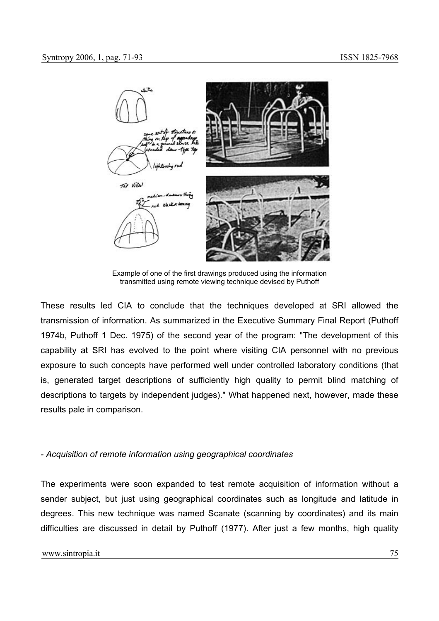

Example of one of the first drawings produced using the information transmitted using remote viewing technique devised by Puthoff

These results led CIA to conclude that the techniques developed at SRI allowed the transmission of information. As summarized in the Executive Summary Final Report (Puthoff 1974b, Puthoff 1 Dec. 1975) of the second year of the program: "The development of this capability at SRI has evolved to the point where visiting CIA personnel with no previous exposure to such concepts have performed well under controlled laboratory conditions (that is, generated target descriptions of sufficiently high quality to permit blind matching of descriptions to targets by independent judges)." What happened next, however, made these results pale in comparison.

### *- Acquisition of remote information using geographical coordinates*

The experiments were soon expanded to test remote acquisition of information without a sender subject, but just using geographical coordinates such as longitude and latitude in degrees. This new technique was named Scanate (scanning by coordinates) and its main difficulties are discussed in detail by Puthoff (1977). After just a few months, high quality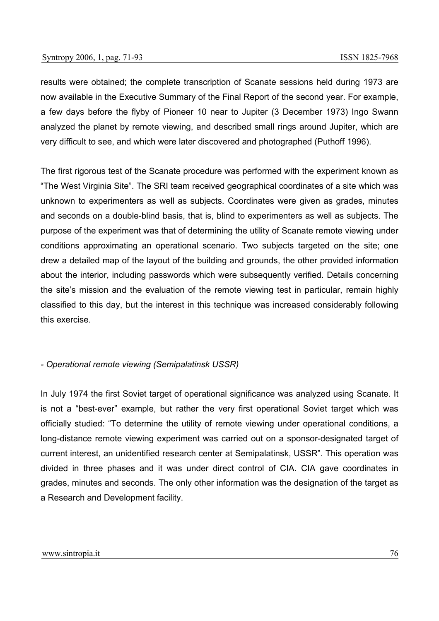results were obtained; the complete transcription of Scanate sessions held during 1973 are now available in the Executive Summary of the Final Report of the second year. For example, a few days before the flyby of Pioneer 10 near to Jupiter (3 December 1973) Ingo Swann analyzed the planet by remote viewing, and described small rings around Jupiter, which are very difficult to see, and which were later discovered and photographed (Puthoff 1996).

The first rigorous test of the Scanate procedure was performed with the experiment known as "The West Virginia Site". The SRI team received geographical coordinates of a site which was unknown to experimenters as well as subjects. Coordinates were given as grades, minutes and seconds on a double-blind basis, that is, blind to experimenters as well as subjects. The purpose of the experiment was that of determining the utility of Scanate remote viewing under conditions approximating an operational scenario. Two subjects targeted on the site; one drew a detailed map of the layout of the building and grounds, the other provided information about the interior, including passwords which were subsequently verified. Details concerning the site's mission and the evaluation of the remote viewing test in particular, remain highly classified to this day, but the interest in this technique was increased considerably following this exercise.

#### *- Operational remote viewing (Semipalatinsk USSR)*

In July 1974 the first Soviet target of operational significance was analyzed using Scanate. It is not a "best-ever" example, but rather the very first operational Soviet target which was officially studied: "To determine the utility of remote viewing under operational conditions, a long-distance remote viewing experiment was carried out on a sponsor-designated target of current interest, an unidentified research center at Semipalatinsk, USSR". This operation was divided in three phases and it was under direct control of CIA. CIA gave coordinates in grades, minutes and seconds. The only other information was the designation of the target as a Research and Development facility.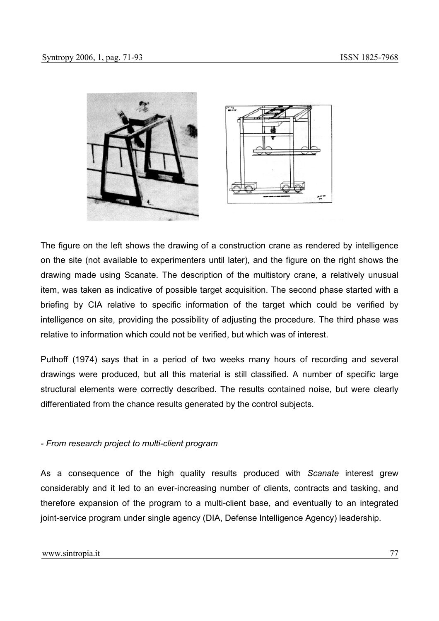



The figure on the left shows the drawing of a construction crane as rendered by intelligence on the site (not available to experimenters until later), and the figure on the right shows the drawing made using Scanate. The description of the multistory crane, a relatively unusual item, was taken as indicative of possible target acquisition. The second phase started with a briefing by CIA relative to specific information of the target which could be verified by intelligence on site, providing the possibility of adjusting the procedure. The third phase was relative to information which could not be verified, but which was of interest.

Puthoff (1974) says that in a period of two weeks many hours of recording and several drawings were produced, but all this material is still classified. A number of specific large structural elements were correctly described. The results contained noise, but were clearly differentiated from the chance results generated by the control subjects.

### *- From research project to multi-client program*

As a consequence of the high quality results produced with *Scanate* interest grew considerably and it led to an ever-increasing number of clients, contracts and tasking, and therefore expansion of the program to a multi-client base, and eventually to an integrated joint-service program under single agency (DIA, Defense Intelligence Agency) leadership.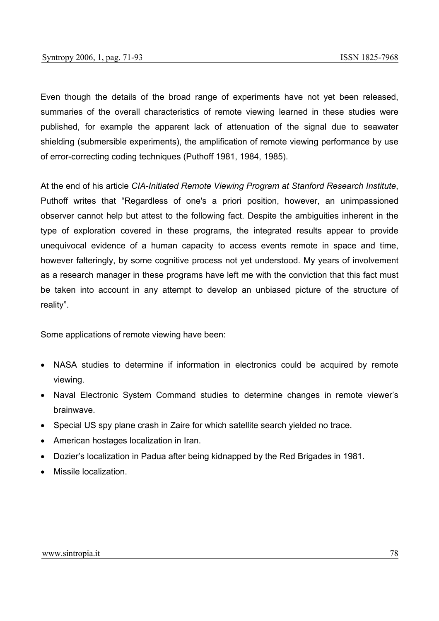Even though the details of the broad range of experiments have not yet been released, summaries of the overall characteristics of remote viewing learned in these studies were published, for example the apparent lack of attenuation of the signal due to seawater shielding (submersible experiments), the amplification of remote viewing performance by use of error-correcting coding techniques (Puthoff 1981, 1984, 1985).

At the end of his article *CIA-Initiated Remote Viewing Program at Stanford Research Institute*, Puthoff writes that "Regardless of one's a priori position, however, an unimpassioned observer cannot help but attest to the following fact. Despite the ambiguities inherent in the type of exploration covered in these programs, the integrated results appear to provide unequivocal evidence of a human capacity to access events remote in space and time, however falteringly, by some cognitive process not yet understood. My years of involvement as a research manager in these programs have left me with the conviction that this fact must be taken into account in any attempt to develop an unbiased picture of the structure of reality".

Some applications of remote viewing have been:

- NASA studies to determine if information in electronics could be acquired by remote viewing.
- Naval Electronic System Command studies to determine changes in remote viewer's brainwave.
- Special US spy plane crash in Zaire for which satellite search yielded no trace.
- American hostages localization in Iran.
- Dozier's localization in Padua after being kidnapped by the Red Brigades in 1981.
- Missile localization.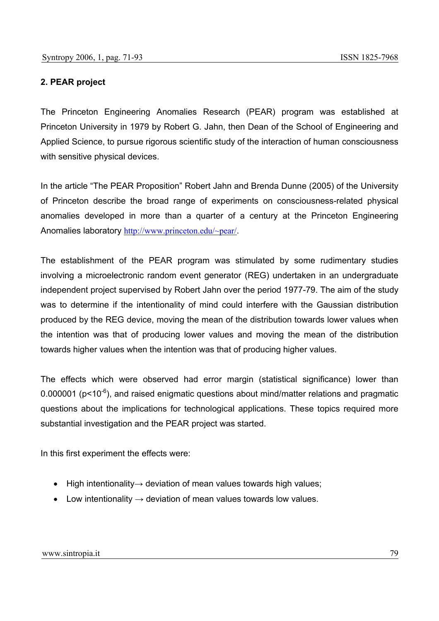# **2. PEAR project**

The Princeton Engineering Anomalies Research (PEAR) program was established at Princeton University in 1979 by Robert G. Jahn, then Dean of the School of Engineering and Applied Science, to pursue rigorous scientific study of the interaction of human consciousness with sensitive physical devices.

In the article "The PEAR Proposition" Robert Jahn and Brenda Dunne (2005) of the University of Princeton describe the broad range of experiments on consciousness-related physical anomalies developed in more than a quarter of a century at the Princeton Engineering Anomalies laboratory http://www.princeton.edu/~pear/.

The establishment of the PEAR program was stimulated by some rudimentary studies involving a microelectronic random event generator (REG) undertaken in an undergraduate independent project supervised by Robert Jahn over the period 1977-79. The aim of the study was to determine if the intentionality of mind could interfere with the Gaussian distribution produced by the REG device, moving the mean of the distribution towards lower values when the intention was that of producing lower values and moving the mean of the distribution towards higher values when the intention was that of producing higher values.

The effects which were observed had error margin (statistical significance) lower than 0.000001 ( $p$ <10<sup>-6</sup>), and raised enigmatic questions about mind/matter relations and pragmatic questions about the implications for technological applications. These topics required more substantial investigation and the PEAR project was started.

In this first experiment the effects were:

- High intentionality→ deviation of mean values towards high values;
- Low intentionality  $\rightarrow$  deviation of mean values towards low values.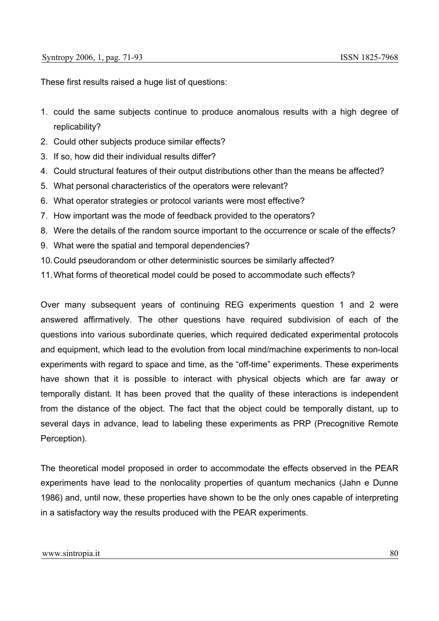These first results raised a huge list of questions:

- 1. could the same subjects continue to produce anomalous results with a high degree of replicability?
- 2. Could other subjects produce similar effects?
- 3. If so, how did their individual results differ?
- 4. Could structural features of their output distributions other than the means be affected?
- 5. What personal characteristics of the operators were relevant?
- 6. What operator strategies or protocol variants were most effective?
- 7. How important was the mode of feedback provided to the operators?
- 8. Were the details of the random source important to the occurrence or scale of the effects?
- 9. What were the spatial and temporal dependencies?
- 10. Could pseudorandom or other deterministic sources be similarly affected?
- 11. What forms of theoretical model could be posed to accommodate such effects?

Over many subsequent years of continuing REG experiments question 1 and 2 were answered affirmatively. The other questions have required subdivision of each of the questions into various subordinate queries, which required dedicated experimental protocols and equipment, which lead to the evolution from local mind/machine experiments to non-local experiments with regard to space and time, as the "off-time" experiments. These experiments have shown that it is possible to interact with physical objects which are far away or temporally distant. It has been proved that the quality of these interactions is independent from the distance of the object. The fact that the object could be temporally distant, up to several days in advance, lead to labeling these experiments as PRP (Precognitive Remote Perception).

The theoretical model proposed in order to accommodate the effects observed in the PEAR experiments have lead to the nonlocality properties of quantum mechanics (Jahn e Dunne 1986) and, until now, these properties have shown to be the only ones capable of interpreting in a satisfactory way the results produced with the PEAR experiments.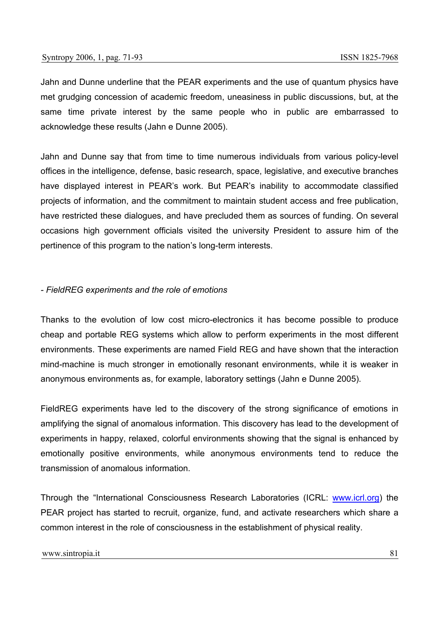Jahn and Dunne underline that the PEAR experiments and the use of quantum physics have met grudging concession of academic freedom, uneasiness in public discussions, but, at the same time private interest by the same people who in public are embarrassed to acknowledge these results (Jahn e Dunne 2005).

Jahn and Dunne say that from time to time numerous individuals from various policy-level offices in the intelligence, defense, basic research, space, legislative, and executive branches have displayed interest in PEAR's work. But PEAR's inability to accommodate classified projects of information, and the commitment to maintain student access and free publication, have restricted these dialogues, and have precluded them as sources of funding. On several occasions high government officials visited the university President to assure him of the pertinence of this program to the nation's long-term interests.

### *- FieldREG experiments and the role of emotions*

Thanks to the evolution of low cost micro-electronics it has become possible to produce cheap and portable REG systems which allow to perform experiments in the most different environments. These experiments are named Field REG and have shown that the interaction mind-machine is much stronger in emotionally resonant environments, while it is weaker in anonymous environments as, for example, laboratory settings (Jahn e Dunne 2005).

FieldREG experiments have led to the discovery of the strong significance of emotions in amplifying the signal of anomalous information. This discovery has lead to the development of experiments in happy, relaxed, colorful environments showing that the signal is enhanced by emotionally positive environments, while anonymous environments tend to reduce the transmission of anomalous information.

Through the "International Consciousness Research Laboratories (ICRL: www.icrl.org) the PEAR project has started to recruit, organize, fund, and activate researchers which share a common interest in the role of consciousness in the establishment of physical reality.

#### www.sintropia.it 81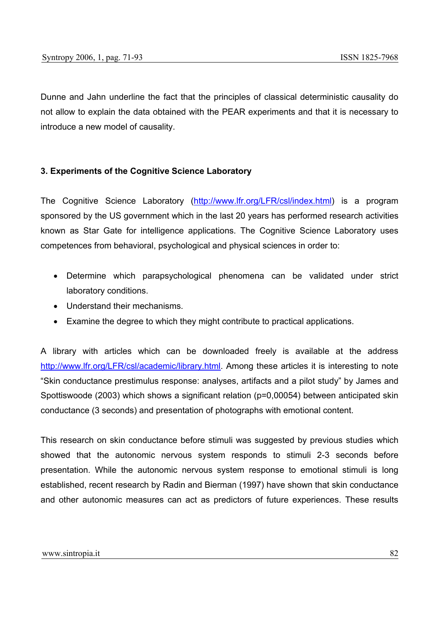Dunne and Jahn underline the fact that the principles of classical deterministic causality do not allow to explain the data obtained with the PEAR experiments and that it is necessary to introduce a new model of causality.

# **3. Experiments of the Cognitive Science Laboratory**

The Cognitive Science Laboratory (http://www.lfr.org/LFR/csl/index.html) is a program sponsored by the US government which in the last 20 years has performed research activities known as Star Gate for intelligence applications. The Cognitive Science Laboratory uses competences from behavioral, psychological and physical sciences in order to:

- Determine which parapsychological phenomena can be validated under strict laboratory conditions.
- Understand their mechanisms.
- Examine the degree to which they might contribute to practical applications.

A library with articles which can be downloaded freely is available at the address http://www.lfr.org/LFR/csl/academic/library.html. Among these articles it is interesting to note "Skin conductance prestimulus response: analyses, artifacts and a pilot study" by James and Spottiswoode (2003) which shows a significant relation (p=0,00054) between anticipated skin conductance (3 seconds) and presentation of photographs with emotional content.

This research on skin conductance before stimuli was suggested by previous studies which showed that the autonomic nervous system responds to stimuli 2-3 seconds before presentation. While the autonomic nervous system response to emotional stimuli is long established, recent research by Radin and Bierman (1997) have shown that skin conductance and other autonomic measures can act as predictors of future experiences. These results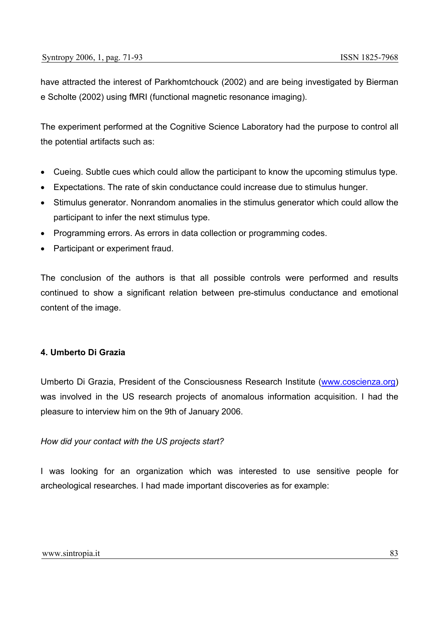have attracted the interest of Parkhomtchouck (2002) and are being investigated by Bierman e Scholte (2002) using fMRI (functional magnetic resonance imaging).

The experiment performed at the Cognitive Science Laboratory had the purpose to control all the potential artifacts such as:

- Cueing. Subtle cues which could allow the participant to know the upcoming stimulus type.
- Expectations. The rate of skin conductance could increase due to stimulus hunger.
- Stimulus generator. Nonrandom anomalies in the stimulus generator which could allow the participant to infer the next stimulus type.
- Programming errors. As errors in data collection or programming codes.
- Participant or experiment fraud.

The conclusion of the authors is that all possible controls were performed and results continued to show a significant relation between pre-stimulus conductance and emotional content of the image.

### **4. Umberto Di Grazia**

Umberto Di Grazia, President of the Consciousness Research Institute (www.coscienza.org) was involved in the US research projects of anomalous information acquisition. I had the pleasure to interview him on the 9th of January 2006.

### *How did your contact with the US projects start?*

I was looking for an organization which was interested to use sensitive people for archeological researches. I had made important discoveries as for example: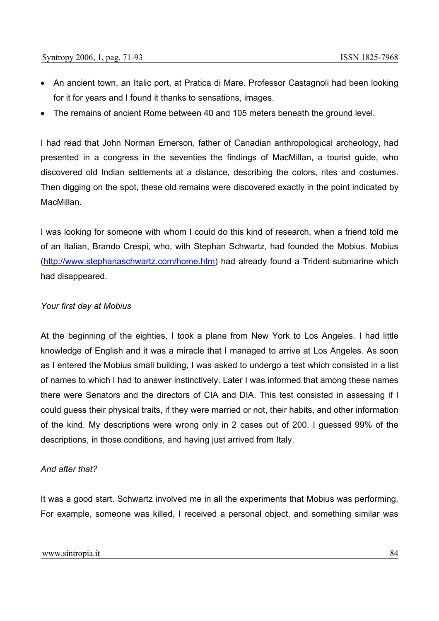- An ancient town, an Italic port, at Pratica di Mare. Professor Castagnoli had been looking for it for years and I found it thanks to sensations, images.
- The remains of ancient Rome between 40 and 105 meters beneath the ground level.

I had read that John Norman Emerson, father of Canadian anthropological archeology, had presented in a congress in the seventies the findings of MacMillan, a tourist guide, who discovered old Indian settlements at a distance, describing the colors, rites and costumes. Then digging on the spot, these old remains were discovered exactly in the point indicated by MacMillan.

I was looking for someone with whom I could do this kind of research, when a friend told me of an Italian, Brando Crespi, who, with Stephan Schwartz, had founded the Mobius. Mobius (http://www.stephanaschwartz.com/home.htm) had already found a Trident submarine which had disappeared.

#### *Your first day at Mobius*

At the beginning of the eighties, I took a plane from New York to Los Angeles. I had little knowledge of English and it was a miracle that I managed to arrive at Los Angeles. As soon as I entered the Mobius small building, I was asked to undergo a test which consisted in a list of names to which I had to answer instinctively. Later I was informed that among these names there were Senators and the directors of CIA and DIA. This test consisted in assessing if I could guess their physical traits, if they were married or not, their habits, and other information of the kind. My descriptions were wrong only in 2 cases out of 200. I guessed 99% of the descriptions, in those conditions, and having just arrived from Italy.

#### *And after that?*

It was a good start. Schwartz involved me in all the experiments that Mobius was performing. For example, someone was killed, I received a personal object, and something similar was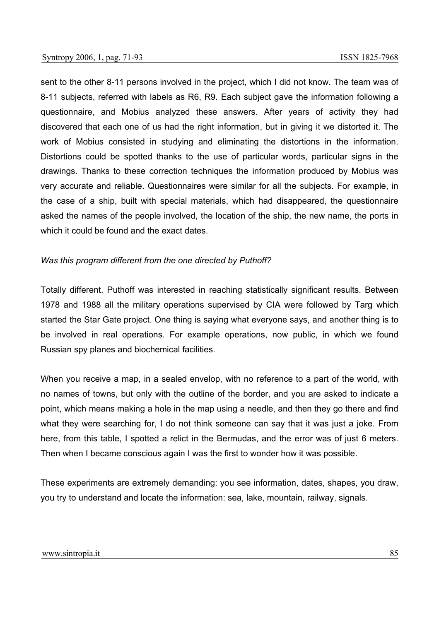sent to the other 8-11 persons involved in the project, which I did not know. The team was of 8-11 subjects, referred with labels as R6, R9. Each subject gave the information following a questionnaire, and Mobius analyzed these answers. After years of activity they had discovered that each one of us had the right information, but in giving it we distorted it. The work of Mobius consisted in studying and eliminating the distortions in the information. Distortions could be spotted thanks to the use of particular words, particular signs in the drawings. Thanks to these correction techniques the information produced by Mobius was very accurate and reliable. Questionnaires were similar for all the subjects. For example, in the case of a ship, built with special materials, which had disappeared, the questionnaire asked the names of the people involved, the location of the ship, the new name, the ports in which it could be found and the exact dates.

#### *Was this program different from the one directed by Puthoff?*

Totally different. Puthoff was interested in reaching statistically significant results. Between 1978 and 1988 all the military operations supervised by CIA were followed by Targ which started the Star Gate project. One thing is saying what everyone says, and another thing is to be involved in real operations. For example operations, now public, in which we found Russian spy planes and biochemical facilities.

When you receive a map, in a sealed envelop, with no reference to a part of the world, with no names of towns, but only with the outline of the border, and you are asked to indicate a point, which means making a hole in the map using a needle, and then they go there and find what they were searching for, I do not think someone can say that it was just a joke. From here, from this table, I spotted a relict in the Bermudas, and the error was of just 6 meters. Then when I became conscious again I was the first to wonder how it was possible.

These experiments are extremely demanding: you see information, dates, shapes, you draw, you try to understand and locate the information: sea, lake, mountain, railway, signals.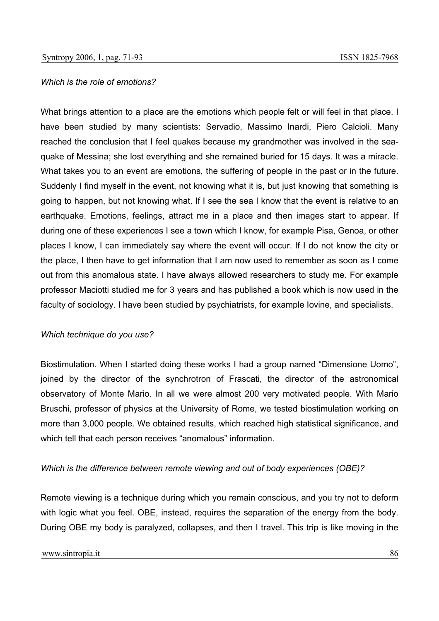#### *Which is the role of emotions?*

What brings attention to a place are the emotions which people felt or will feel in that place. I have been studied by many scientists: Servadio, Massimo Inardi, Piero Calcioli. Many reached the conclusion that I feel quakes because my grandmother was involved in the seaquake of Messina; she lost everything and she remained buried for 15 days. It was a miracle. What takes you to an event are emotions, the suffering of people in the past or in the future. Suddenly I find myself in the event, not knowing what it is, but just knowing that something is going to happen, but not knowing what. If I see the sea I know that the event is relative to an earthquake. Emotions, feelings, attract me in a place and then images start to appear. If during one of these experiences I see a town which I know, for example Pisa, Genoa, or other places I know, I can immediately say where the event will occur. If I do not know the city or the place, I then have to get information that I am now used to remember as soon as I come out from this anomalous state. I have always allowed researchers to study me. For example professor Maciotti studied me for 3 years and has published a book which is now used in the faculty of sociology. I have been studied by psychiatrists, for example Iovine, and specialists.

#### *Which technique do you use?*

Biostimulation. When I started doing these works I had a group named "Dimensione Uomo", joined by the director of the synchrotron of Frascati, the director of the astronomical observatory of Monte Mario. In all we were almost 200 very motivated people. With Mario Bruschi, professor of physics at the University of Rome, we tested biostimulation working on more than 3,000 people. We obtained results, which reached high statistical significance, and which tell that each person receives "anomalous" information.

#### *Which is the difference between remote viewing and out of body experiences (OBE)?*

Remote viewing is a technique during which you remain conscious, and you try not to deform with logic what you feel. OBE, instead, requires the separation of the energy from the body. During OBE my body is paralyzed, collapses, and then I travel. This trip is like moving in the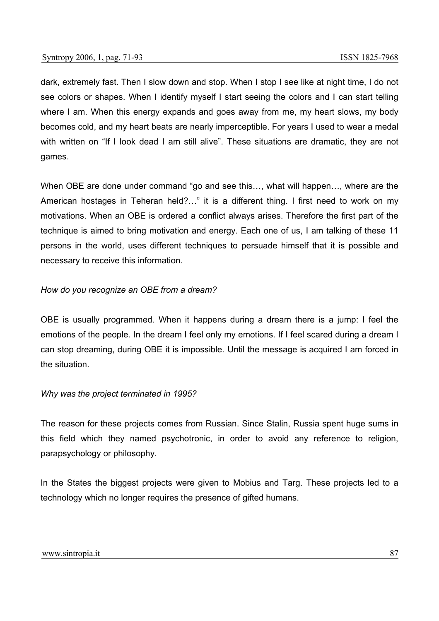dark, extremely fast. Then I slow down and stop. When I stop I see like at night time, I do not see colors or shapes. When I identify myself I start seeing the colors and I can start telling where I am. When this energy expands and goes away from me, my heart slows, my body becomes cold, and my heart beats are nearly imperceptible. For years I used to wear a medal with written on "If I look dead I am still alive". These situations are dramatic, they are not games.

When OBE are done under command "go and see this…, what will happen…, where are the American hostages in Teheran held?…" it is a different thing. I first need to work on my motivations. When an OBE is ordered a conflict always arises. Therefore the first part of the technique is aimed to bring motivation and energy. Each one of us, I am talking of these 11 persons in the world, uses different techniques to persuade himself that it is possible and necessary to receive this information.

# *How do you recognize an OBE from a dream?*

OBE is usually programmed. When it happens during a dream there is a jump: I feel the emotions of the people. In the dream I feel only my emotions. If I feel scared during a dream I can stop dreaming, during OBE it is impossible. Until the message is acquired I am forced in the situation.

### *Why was the project terminated in 1995?*

The reason for these projects comes from Russian. Since Stalin, Russia spent huge sums in this field which they named psychotronic, in order to avoid any reference to religion, parapsychology or philosophy.

In the States the biggest projects were given to Mobius and Targ. These projects led to a technology which no longer requires the presence of gifted humans.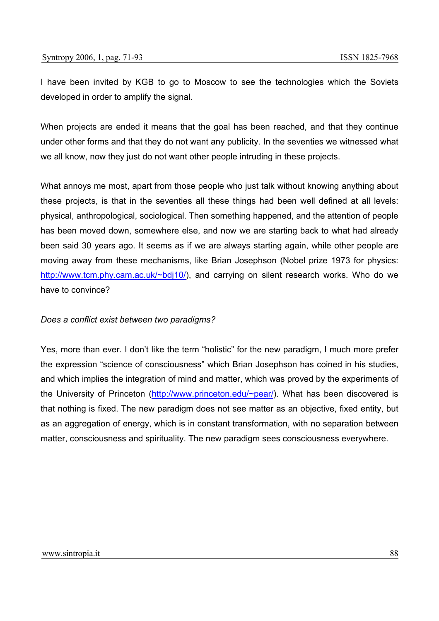I have been invited by KGB to go to Moscow to see the technologies which the Soviets developed in order to amplify the signal.

When projects are ended it means that the goal has been reached, and that they continue under other forms and that they do not want any publicity. In the seventies we witnessed what we all know, now they just do not want other people intruding in these projects.

What annoys me most, apart from those people who just talk without knowing anything about these projects, is that in the seventies all these things had been well defined at all levels: physical, anthropological, sociological. Then something happened, and the attention of people has been moved down, somewhere else, and now we are starting back to what had already been said 30 years ago. It seems as if we are always starting again, while other people are moving away from these mechanisms, like Brian Josephson (Nobel prize 1973 for physics: http://www.tcm.phy.cam.ac.uk/~bdi10/), and carrying on silent research works. Who do we have to convince?

### *Does a conflict exist between two paradigms?*

Yes, more than ever. I don't like the term "holistic" for the new paradigm, I much more prefer the expression "science of consciousness" which Brian Josephson has coined in his studies, and which implies the integration of mind and matter, which was proved by the experiments of the University of Princeton (http://www.princeton.edu/~pear/). What has been discovered is that nothing is fixed. The new paradigm does not see matter as an objective, fixed entity, but as an aggregation of energy, which is in constant transformation, with no separation between matter, consciousness and spirituality. The new paradigm sees consciousness everywhere.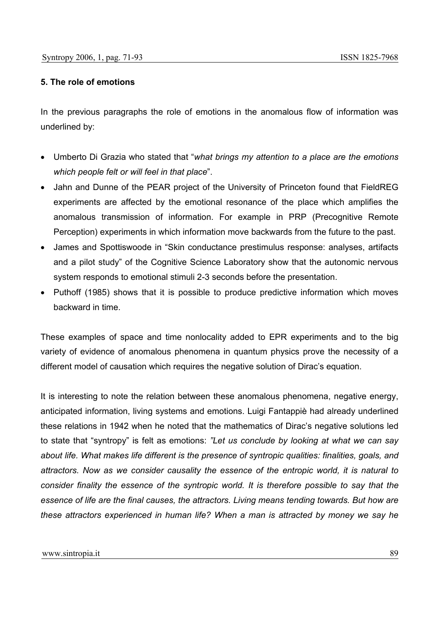### **5. The role of emotions**

In the previous paragraphs the role of emotions in the anomalous flow of information was underlined by:

- Umberto Di Grazia who stated that "*what brings my attention to a place are the emotions which people felt or will feel in that place*".
- Jahn and Dunne of the PEAR project of the University of Princeton found that FieldREG experiments are affected by the emotional resonance of the place which amplifies the anomalous transmission of information. For example in PRP (Precognitive Remote Perception) experiments in which information move backwards from the future to the past.
- James and Spottiswoode in "Skin conductance prestimulus response: analyses, artifacts and a pilot study" of the Cognitive Science Laboratory show that the autonomic nervous system responds to emotional stimuli 2-3 seconds before the presentation.
- Puthoff (1985) shows that it is possible to produce predictive information which moves backward in time.

These examples of space and time nonlocality added to EPR experiments and to the big variety of evidence of anomalous phenomena in quantum physics prove the necessity of a different model of causation which requires the negative solution of Dirac's equation.

It is interesting to note the relation between these anomalous phenomena, negative energy, anticipated information, living systems and emotions. Luigi Fantappiè had already underlined these relations in 1942 when he noted that the mathematics of Dirac's negative solutions led to state that "syntropy" is felt as emotions: *"Let us conclude by looking at what we can say about life. What makes life different is the presence of syntropic qualities: finalities, goals, and attractors. Now as we consider causality the essence of the entropic world, it is natural to consider finality the essence of the syntropic world. It is therefore possible to say that the essence of life are the final causes, the attractors. Living means tending towards. But how are these attractors experienced in human life? When a man is attracted by money we say he*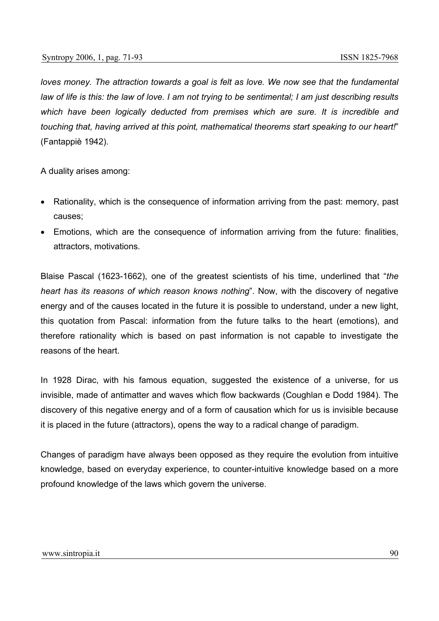*loves money. The attraction towards a goal is felt as love. We now see that the fundamental law of life is this: the law of love. I am not trying to be sentimental; I am just describing results which have been logically deducted from premises which are sure. It is incredible and touching that, having arrived at this point, mathematical theorems start speaking to our heart!*" (Fantappiè 1942).

A duality arises among:

- Rationality, which is the consequence of information arriving from the past: memory, past causes;
- Emotions, which are the consequence of information arriving from the future: finalities, attractors, motivations.

Blaise Pascal (1623-1662), one of the greatest scientists of his time, underlined that "*the heart has its reasons of which reason knows nothing*". Now, with the discovery of negative energy and of the causes located in the future it is possible to understand, under a new light, this quotation from Pascal: information from the future talks to the heart (emotions), and therefore rationality which is based on past information is not capable to investigate the reasons of the heart.

In 1928 Dirac, with his famous equation, suggested the existence of a universe, for us invisible, made of antimatter and waves which flow backwards (Coughlan e Dodd 1984). The discovery of this negative energy and of a form of causation which for us is invisible because it is placed in the future (attractors), opens the way to a radical change of paradigm.

Changes of paradigm have always been opposed as they require the evolution from intuitive knowledge, based on everyday experience, to counter-intuitive knowledge based on a more profound knowledge of the laws which govern the universe.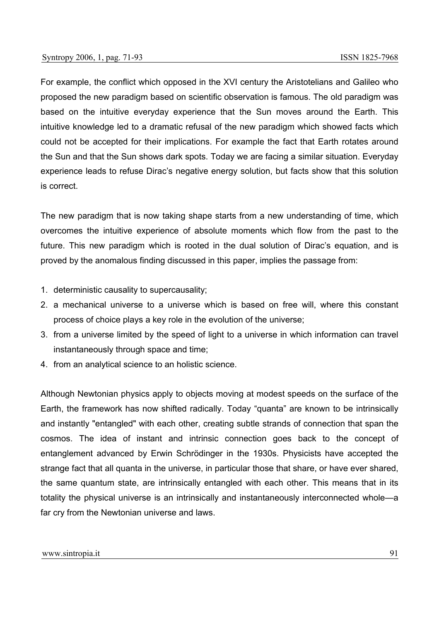For example, the conflict which opposed in the XVI century the Aristotelians and Galileo who proposed the new paradigm based on scientific observation is famous. The old paradigm was based on the intuitive everyday experience that the Sun moves around the Earth. This intuitive knowledge led to a dramatic refusal of the new paradigm which showed facts which could not be accepted for their implications. For example the fact that Earth rotates around the Sun and that the Sun shows dark spots. Today we are facing a similar situation. Everyday experience leads to refuse Dirac's negative energy solution, but facts show that this solution is correct.

The new paradigm that is now taking shape starts from a new understanding of time, which overcomes the intuitive experience of absolute moments which flow from the past to the future. This new paradigm which is rooted in the dual solution of Dirac's equation, and is proved by the anomalous finding discussed in this paper, implies the passage from:

- 1. deterministic causality to supercausality;
- 2. a mechanical universe to a universe which is based on free will, where this constant process of choice plays a key role in the evolution of the universe;
- 3. from a universe limited by the speed of light to a universe in which information can travel instantaneously through space and time;
- 4. from an analytical science to an holistic science.

Although Newtonian physics apply to objects moving at modest speeds on the surface of the Earth, the framework has now shifted radically. Today "quanta" are known to be intrinsically and instantly "entangled" with each other, creating subtle strands of connection that span the cosmos. The idea of instant and intrinsic connection goes back to the concept of entanglement advanced by Erwin Schrödinger in the 1930s. Physicists have accepted the strange fact that all quanta in the universe, in particular those that share, or have ever shared, the same quantum state, are intrinsically entangled with each other. This means that in its totality the physical universe is an intrinsically and instantaneously interconnected whole—a far cry from the Newtonian universe and laws.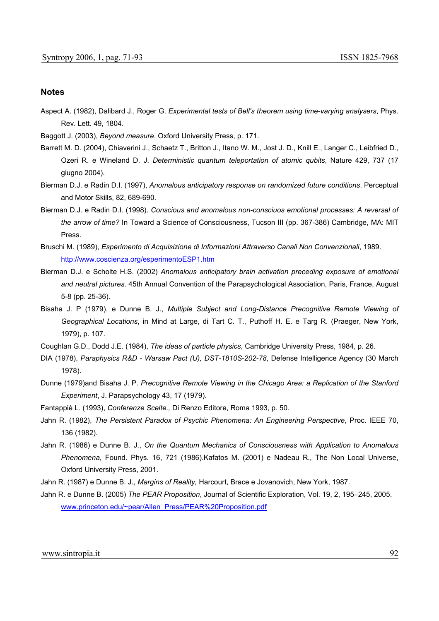#### **Notes**

Aspect A. (1982), Dalibard J., Roger G. *Experimental tests of Bell's theorem using time-varying analysers*, Phys. Rev. Lett. 49, 1804.

Baggott J. (2003), *Beyond measure*, Oxford University Press, p. 171.

- Barrett M. D. (2004), Chiaverini J., Schaetz T., Britton J., Itano W. M., Jost J. D., Knill E., Langer C., Leibfried D., Ozeri R. e Wineland D. J. *Deterministic quantum teleportation of atomic qubits*, Nature 429, 737 (17 giugno 2004).
- Bierman D.J. e Radin D.I. (1997), *Anomalous anticipatory response on randomized future conditions*. Perceptual and Motor Skills, 82, 689-690.
- Bierman D.J. e Radin D.I. (1998). *Conscious and anomalous non-consciuos emotional processes: A reversal of the arrow of time?* In Toward a Science of Consciousness, Tucson III (pp. 367-386) Cambridge, MA: MIT Press.
- Bruschi M. (1989), *Esperimento di Acquisizione di Informazioni Attraverso Canali Non Convenzionali*, 1989. http://www.coscienza.org/esperimentoESP1.htm
- Bierman D.J. e Scholte H.S. (2002) *Anomalous anticipatory brain activation preceding exposure of emotional and neutral pictures*. 45th Annual Convention of the Parapsychological Association, Paris, France, August 5-8 (pp. 25-36).
- Bisaha J. P (1979). e Dunne B. J., *Multiple Subject and Long-Distance Precognitive Remote Viewing of Geographical Locations*, in Mind at Large, di Tart C. T., Puthoff H. E. e Targ R. (Praeger, New York, 1979), p. 107.
- Coughlan G.D., Dodd J.E. (1984), *The ideas of particle physics*, Cambridge University Press, 1984, p. 26.
- DIA (1978), *Paraphysics R&D Warsaw Pact (U), DST-1810S-202-78*, Defense Intelligence Agency (30 March 1978).
- Dunne (1979)and Bisaha J. P. *Precognitive Remote Viewing in the Chicago Area: a Replication of the Stanford Experiment*, J. Parapsychology 43, 17 (1979).
- Fantappiè L. (1993), *Conferenze Scelte.,* Di Renzo Editore, Roma 1993, p. 50.
- Jahn R. (1982), *The Persistent Paradox of Psychic Phenomena: An Engineering Perspective*, Proc. IEEE 70, 136 (1982).
- Jahn R. (1986) e Dunne B. J., *On the Quantum Mechanics of Consciousness with Application to Anomalous Phenomena*, Found. Phys. 16, 721 (1986).Kafatos M. (2001) e Nadeau R., The Non Local Universe, Oxford University Press, 2001.
- Jahn R. (1987) e Dunne B. J., *Margins of Reality,* Harcourt, Brace e Jovanovich, New York, 1987.
- Jahn R. e Dunne B. (2005) *The PEAR Proposition*, Journal of Scientific Exploration, Vol. 19, 2, 195–245, 2005. www.princeton.edu/~pear/Allen\_Press/PEAR%20Proposition.pdf